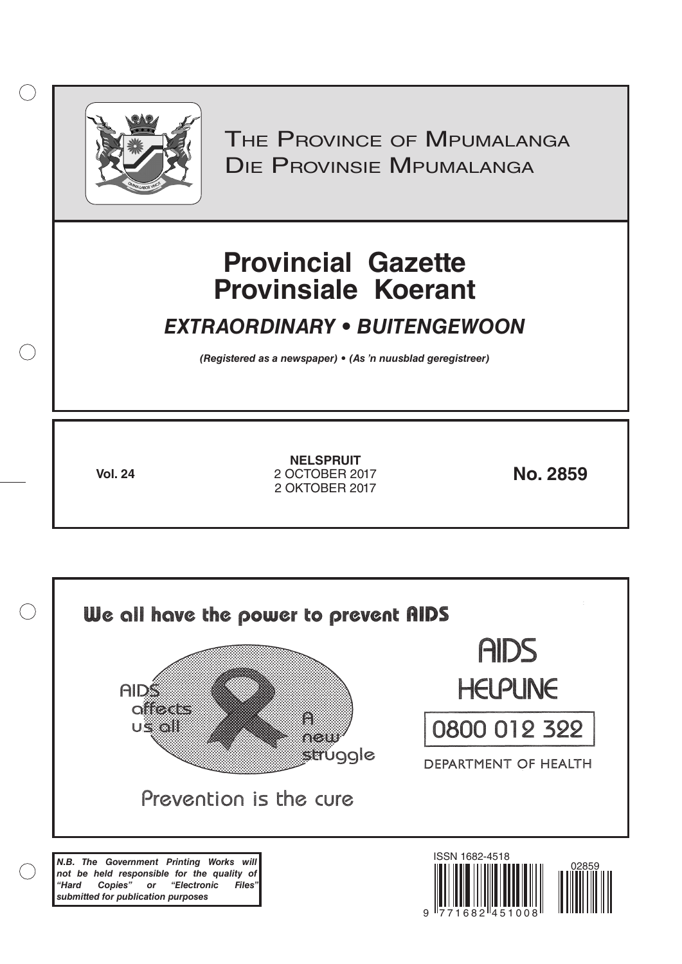

 $( )$ 

THE PROVINCE OF MPUMALANGA Die Provinsie Mpumalanga

# **Provincial Gazette Provinsiale Koerant**

## *EXTRAORDINARY • BUITENGEWOON*

*(Registered as a newspaper) • (As 'n nuusblad geregistreer)*

**Vol. 24 No. 2859** 2 OCTOBER 2017 **NELSPRUIT** 2 OKTOBER 2017

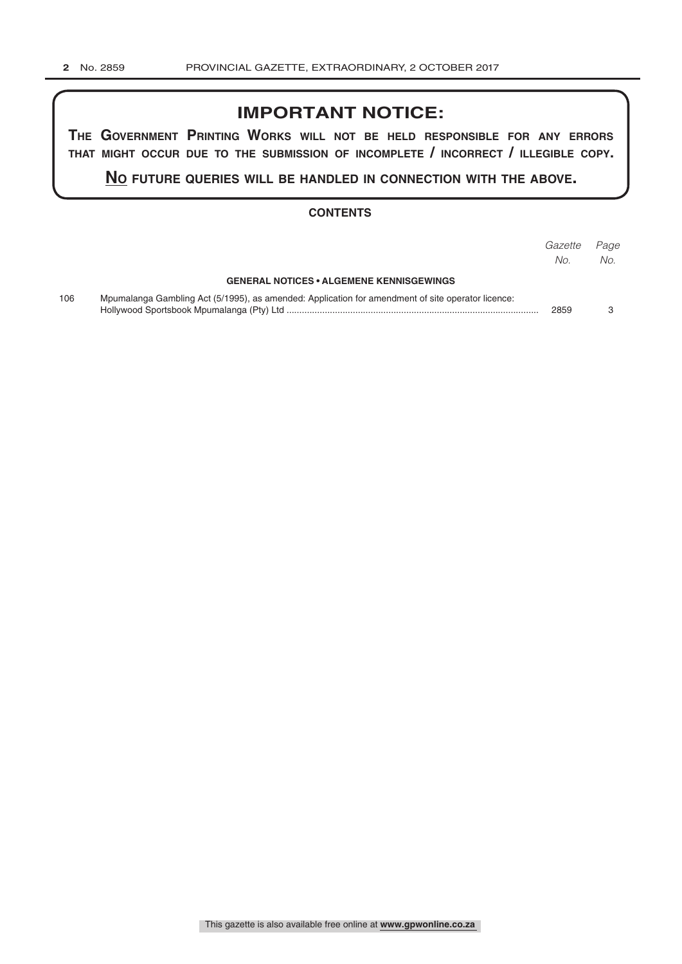## **IMPORTANT NOTICE:**

**The GovernmenT PrinTinG Works Will noT be held resPonsible for any errors ThaT miGhT occur due To The submission of incomPleTe / incorrecT / illeGible coPy.**

**no fuTure queries Will be handled in connecTion WiTh The above.**

#### **CONTENTS**

|     |                                                                                                   | Gazette<br>No. | Page<br>No. |
|-----|---------------------------------------------------------------------------------------------------|----------------|-------------|
|     | <b>GENERAL NOTICES • ALGEMENE KENNISGEWINGS</b>                                                   |                |             |
| 106 | Mpumalanga Gambling Act (5/1995), as amended: Application for amendment of site operator licence: | 2859           |             |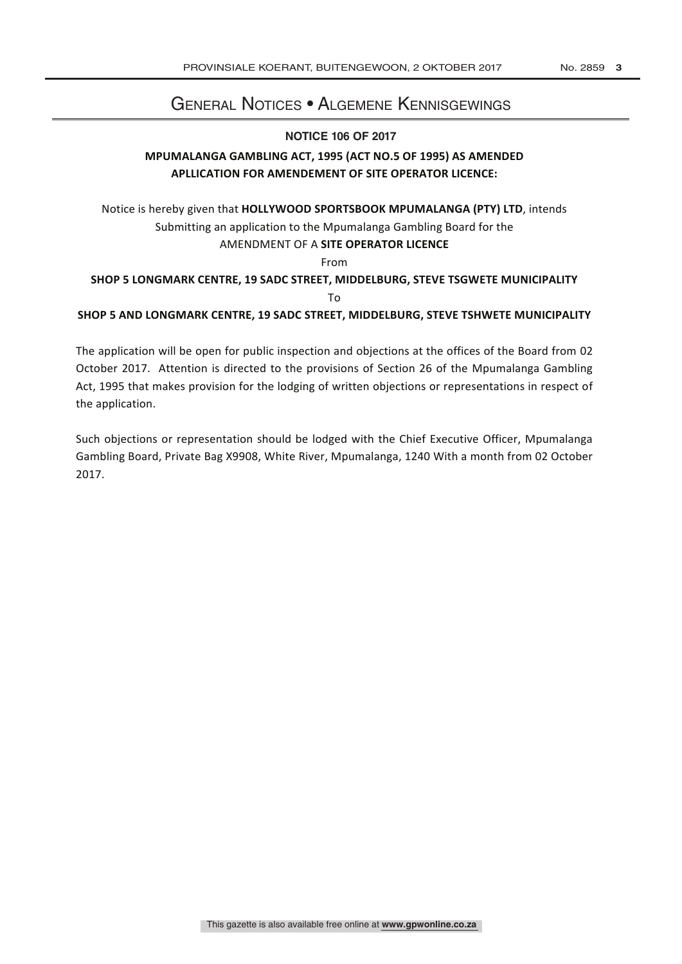### General Notices • Algemene Kennisgewings

#### **NOTICE 106 OF 2017**

#### **MPUMALANGA GAMBLING ACT, 1995 (ACT NO.5 OF 1995) AS AMENDED APLLICATION FOR AMENDEMENT OF SITE OPERATOR LICENCE:**

Notice is hereby given that **HOLLYWOOD SPORTSBOOK MPUMALANGA (PTY) LTD**, intends Submitting an application to the Mpumalanga Gambling Board for the AMENDMENT OF A **SITE OPERATOR LICENCE** From **SHOP 5 LONGMARK CENTRE, 19 SADC STREET, MIDDELBURG, STEVE TSGWETE MUNICIPALITY** To

**SHOP 5 AND LONGMARK CENTRE, 19 SADC STREET, MIDDELBURG, STEVE TSHWETE MUNICIPALITY** 

The application will be open for public inspection and objections at the offices of the Board from 02 October 2017. Attention is directed to the provisions of Section 26 of the Mpumalanga Gambling Act, 1995 that makes provision for the lodging of written objections or representations in respect of the application.

Such objections or representation should be lodged with the Chief Executive Officer, Mpumalanga Gambling Board, Private Bag X9908, White River, Mpumalanga, 1240 With a month from 02 October 2017.